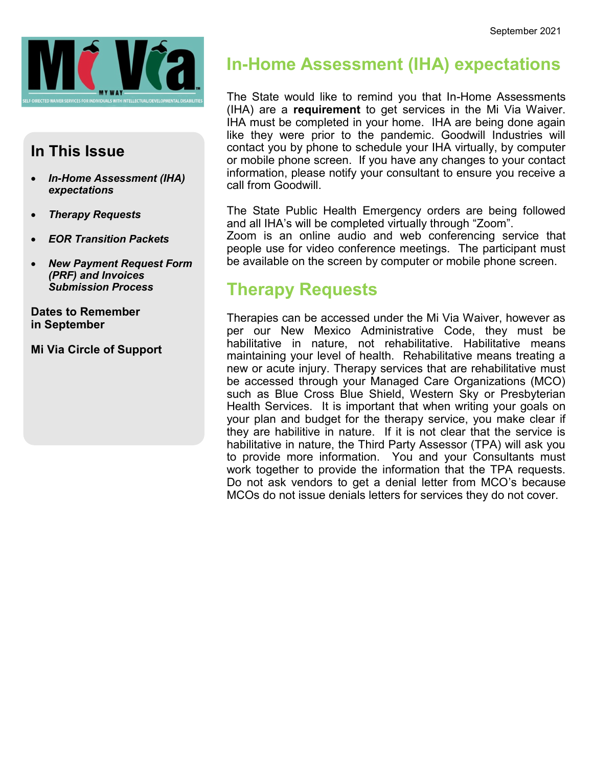

### **In This Issue**

- *In-Home Assessment (IHA) expectations*
- *Therapy Requests*
- *EOR Transition Packets*
- *New Payment Request Form (PRF) and Invoices Submission Process*

**Dates to Remember in September**

**Mi Via Circle of Support**

## **In-Home Assessment (IHA) expectations**

The State would like to remind you that In-Home Assessments (IHA) are a **requirement** to get services in the Mi Via Waiver. IHA must be completed in your home. IHA are being done again like they were prior to the pandemic. Goodwill Industries will contact you by phone to schedule your IHA virtually, by computer or mobile phone screen. If you have any changes to your contact information, please notify your consultant to ensure you receive a call from Goodwill.

The State Public Health Emergency orders are being followed and all IHA's will be completed virtually through "Zoom".

Zoom is an online audio and web conferencing service that people use for video conference meetings. The participant must be available on the screen by computer or mobile phone screen.

## **Therapy Requests**

Therapies can be accessed under the Mi Via Waiver, however as per our New Mexico Administrative Code, they must be habilitative in nature, not rehabilitative. Habilitative means maintaining your level of health. Rehabilitative means treating a new or acute injury. Therapy services that are rehabilitative must be accessed through your Managed Care Organizations (MCO) such as Blue Cross Blue Shield, Western Sky or Presbyterian Health Services. It is important that when writing your goals on your plan and budget for the therapy service, you make clear if they are habilitive in nature. If it is not clear that the service is habilitative in nature, the Third Party Assessor (TPA) will ask you to provide more information. You and your Consultants must work together to provide the information that the TPA requests. Do not ask vendors to get a denial letter from MCO's because MCOs do not issue denials letters for services they do not cover.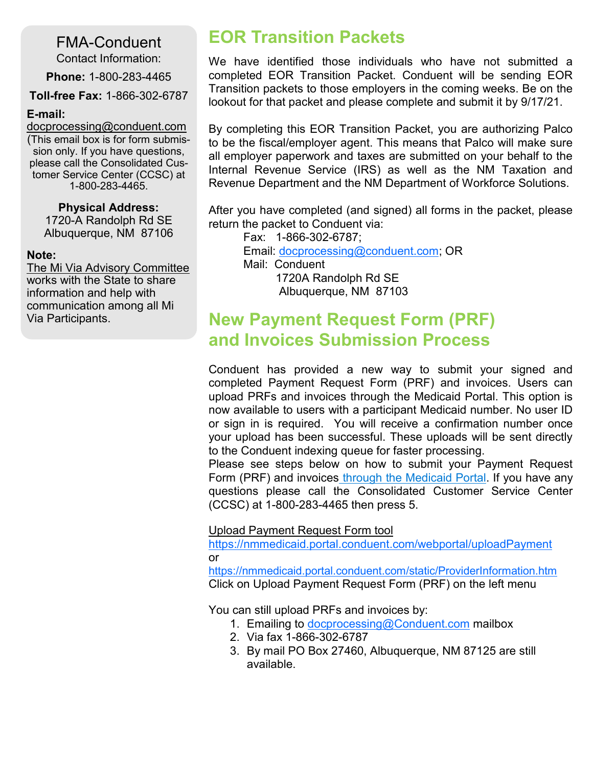FMA-Conduent

Contact Information:

**Phone:** 1-800-283-4465

**Toll-free Fax:** 1-866-302-6787

#### **E-mail:**

[docprocessing@conduent.com](mailto:docprocessing@conduent.com) (This email box is for form submission only. If you have questions, please call the Consolidated Customer Service Center (CCSC) at 1-800-283-4465.

#### **Physical Address:**

1720-A Randolph Rd SE Albuquerque, NM 87106

#### **Note:**

The Mi Via Advisory Committee works with the State to share information and help with communication among all Mi Via Participants.

## **EOR Transition Packets**

We have identified those individuals who have not submitted a completed EOR Transition Packet. Conduent will be sending EOR Transition packets to those employers in the coming weeks. Be on the lookout for that packet and please complete and submit it by 9/17/21.

By completing this EOR Transition Packet, you are authorizing Palco to be the fiscal/employer agent. This means that Palco will make sure all employer paperwork and taxes are submitted on your behalf to the Internal Revenue Service (IRS) as well as the NM Taxation and Revenue Department and the NM Department of Workforce Solutions.

After you have completed (and signed) all forms in the packet, please return the packet to Conduent via:

Fax: 1-866-302-6787; Email: [docprocessing@conduent.com;](mailto:docprocessing@conduent.com) OR Mail: Conduent 1720A Randolph Rd SE Albuquerque, NM 87103

## **New Payment Request Form (PRF) and Invoices Submission Process**

Conduent has provided a new way to submit your signed and completed Payment Request Form (PRF) and invoices. Users can upload PRFs and invoices through the Medicaid Portal. This option is now available to users with a participant Medicaid number. No user ID or sign in is required. You will receive a confirmation number once your upload has been successful. These uploads will be sent directly to the Conduent indexing queue for faster processing.

Please see steps below on how to submit your Payment Request Form (PRF) and invoices through the Medicaid Portal. If you have any questions please call the Consolidated Customer Service Center (CCSC) at 1-800-283-4465 then press 5.

#### Upload Payment Request Form tool

<https://nmmedicaid.portal.conduent.com/webportal/uploadPayment> or

<https://nmmedicaid.portal.conduent.com/static/ProviderInformation.htm> Click on Upload Payment Request Form (PRF) on the left menu

You can still upload PRFs and invoices by:

- 1. Emailing to [docprocessing@Conduent.com](mailto:docprocessing@Conduent.com) mailbox
- 2. Via fax 1-866-302-6787
- 3. By mail PO Box 27460, Albuquerque, NM 87125 are still available.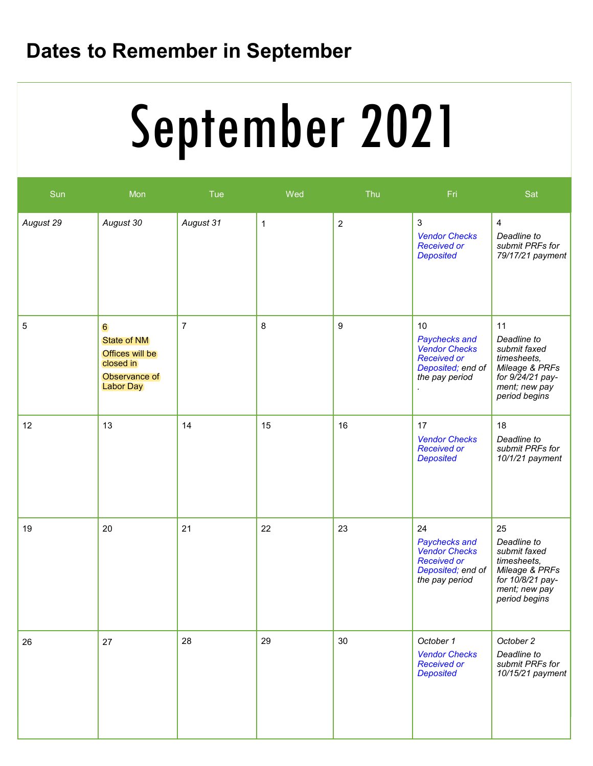# **Dates to Remember in September**

## $\mathcal{L}_{\mathbf{A}}$ **Service Deliveries Concerns (E.g. SSP)** September 2021

| Sun       | Mon                                                                                          | Tue            | Wed          | Thu            | Fri                                                                                                      | Sat                                                                                                                      |
|-----------|----------------------------------------------------------------------------------------------|----------------|--------------|----------------|----------------------------------------------------------------------------------------------------------|--------------------------------------------------------------------------------------------------------------------------|
| August 29 | August 30                                                                                    | August 31      | $\mathbf{1}$ | $\overline{2}$ | 3<br><b>Vendor Checks</b><br><b>Received or</b><br><b>Deposited</b>                                      | $\overline{4}$<br>Deadline to<br>submit PRFs for<br>79/17/21 payment                                                     |
| 5         | 6<br><b>State of NM</b><br>Offices will be<br>closed in<br>Observance of<br><b>Labor Day</b> | $\overline{7}$ | 8            | 9              | 10<br>Paychecks and<br><b>Vendor Checks</b><br><b>Received or</b><br>Deposited; end of<br>the pay period | 11<br>Deadline to<br>submit faxed<br>timesheets,<br>Mileage & PRFs<br>for 9/24/21 pay-<br>ment; new pay<br>period begins |
| 12        | 13                                                                                           | 14             | 15           | 16             | 17<br><b>Vendor Checks</b><br><b>Received or</b><br><b>Deposited</b>                                     | 18<br>Deadline to<br>submit PRFs for<br>10/1/21 payment                                                                  |
| 19        | 20                                                                                           | 21             | 22           | 23             | 24<br>Paychecks and<br><b>Vendor Checks</b><br><b>Received or</b><br>Deposited; end of<br>the pay period | 25<br>Deadline to<br>submit faxed<br>timesheets,<br>Mileage & PRFs<br>for 10/8/21 pay-<br>ment; new pay<br>period begins |
| 26        | 27                                                                                           | 28             | 29           | 30             | October 1<br><b>Vendor Checks</b><br><b>Received or</b><br><b>Deposited</b>                              | October 2<br>Deadline to<br>submit PRFs for<br>10/15/21 payment                                                          |